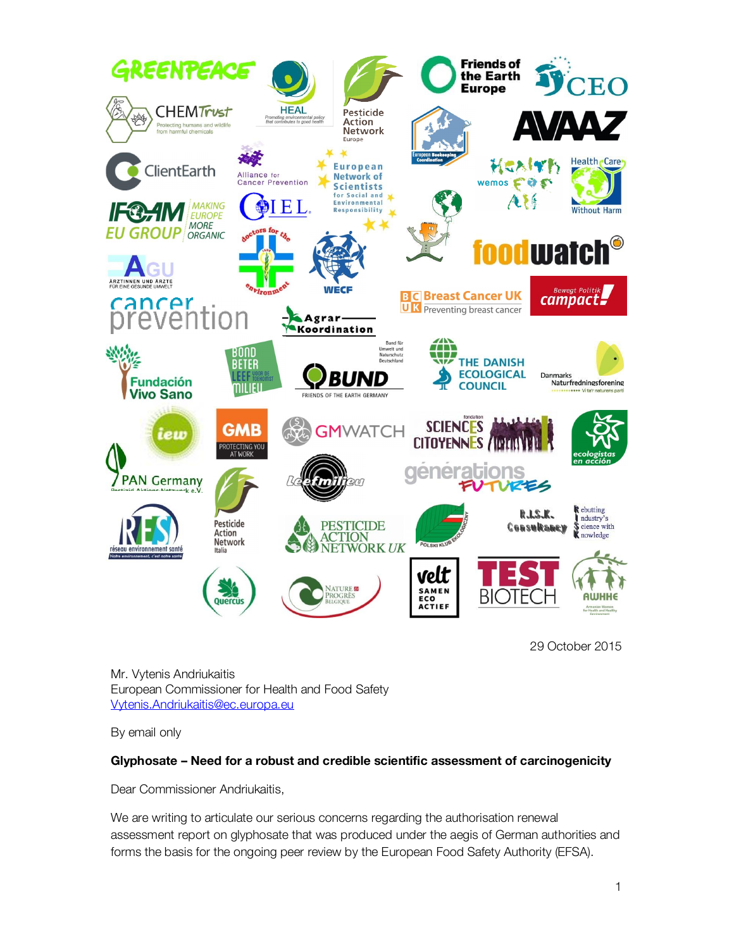

29 October 2015

Mr. Vytenis Andriukaitis European Commissioner for Health and Food Safety Vytenis.Andriukaitis@ec.europa.eu

By email only

## Glyphosate – Need for a robust and credible scientific assessment of carcinogenicity

Dear Commissioner Andriukaitis,

We are writing to articulate our serious concerns regarding the authorisation renewal assessment report on glyphosate that was produced under the aegis of German authorities and forms the basis for the ongoing peer review by the European Food Safety Authority (EFSA).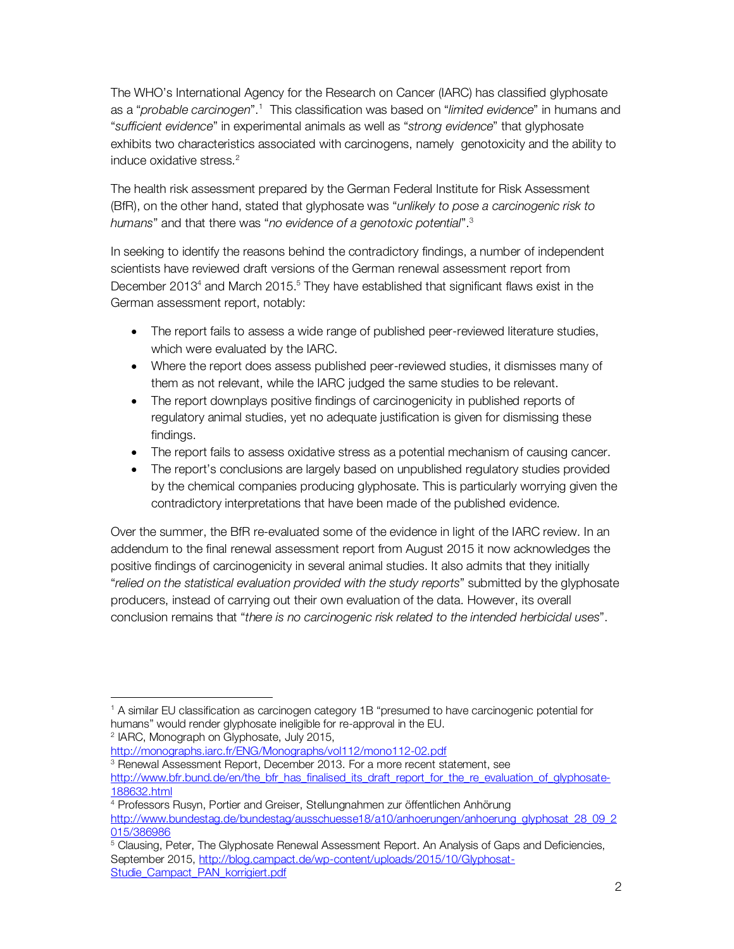The WHO's International Agency for the Research on Cancer (IARC) has classified glyphosate as a "*probable carcinogen*".<sup>1</sup> This classification was based on "*limited evidence*" in humans and "sufficient evidence" in experimental animals as well as "strong evidence" that glyphosate exhibits two characteristics associated with carcinogens, namely genotoxicity and the ability to induce oxidative stress. 2

The health risk assessment prepared by the German Federal Institute for Risk Assessment (BfR), on the other hand, stated that glyphosate was "unlikely to pose a carcinogenic risk to humans" and that there was "*no evidence of a genotoxic potential*".<sup>3</sup>

In seeking to identify the reasons behind the contradictory findings, a number of independent scientists have reviewed draft versions of the German renewal assessment report from December 2013<sup>4</sup> and March 2015.<sup>5</sup> They have established that significant flaws exist in the German assessment report, notably:

- · The report fails to assess a wide range of published peer-reviewed literature studies, which were evaluated by the IARC.
- · Where the report does assess published peer-reviewed studies, it dismisses many of them as not relevant, while the IARC judged the same studies to be relevant.
- · The report downplays positive findings of carcinogenicity in published reports of regulatory animal studies, yet no adequate justification is given for dismissing these findings.
- · The report fails to assess oxidative stress as a potential mechanism of causing cancer.
- The report's conclusions are largely based on unpublished regulatory studies provided by the chemical companies producing glyphosate. This is particularly worrying given the contradictory interpretations that have been made of the published evidence.

Over the summer, the BfR re-evaluated some of the evidence in light of the IARC review. In an addendum to the final renewal assessment report from August 2015 it now acknowledges the positive findings of carcinogenicity in several animal studies. It also admits that they initially "relied on the statistical evaluation provided with the study reports" submitted by the glyphosate producers, instead of carrying out their own evaluation of the data. However, its overall conclusion remains that "there is no carcinogenic risk related to the intended herbicidal uses".

l <sup>1</sup> A similar EU classification as carcinogen category 1B "presumed to have carcinogenic potential for humans" would render glyphosate ineligible for re-approval in the EU. <sup>2</sup> IARC, Monograph on Glyphosate, July 2015,

http://monographs.iarc.fr/ENG/Monographs/vol112/mono112-02.pdf

<sup>&</sup>lt;sup>3</sup> Renewal Assessment Report, December 2013. For a more recent statement, see http://www.bfr.bund.de/en/the\_bfr\_has\_finalised\_its\_draft\_report\_for\_the\_re\_evaluation\_of\_glyphosate-188632.html

<sup>4</sup> Professors Rusyn, Portier and Greiser, Stellungnahmen zur öffentlichen Anhörung http://www.bundestag.de/bundestag/ausschuesse18/a10/anhoerungen/anhoerung\_glyphosat\_28\_09\_2 015/386986

<sup>5</sup> Clausing, Peter, The Glyphosate Renewal Assessment Report. An Analysis of Gaps and Deficiencies, September 2015, http://blog.campact.de/wp-content/uploads/2015/10/Glyphosat-Studie\_Campact\_PAN\_korrigiert.pdf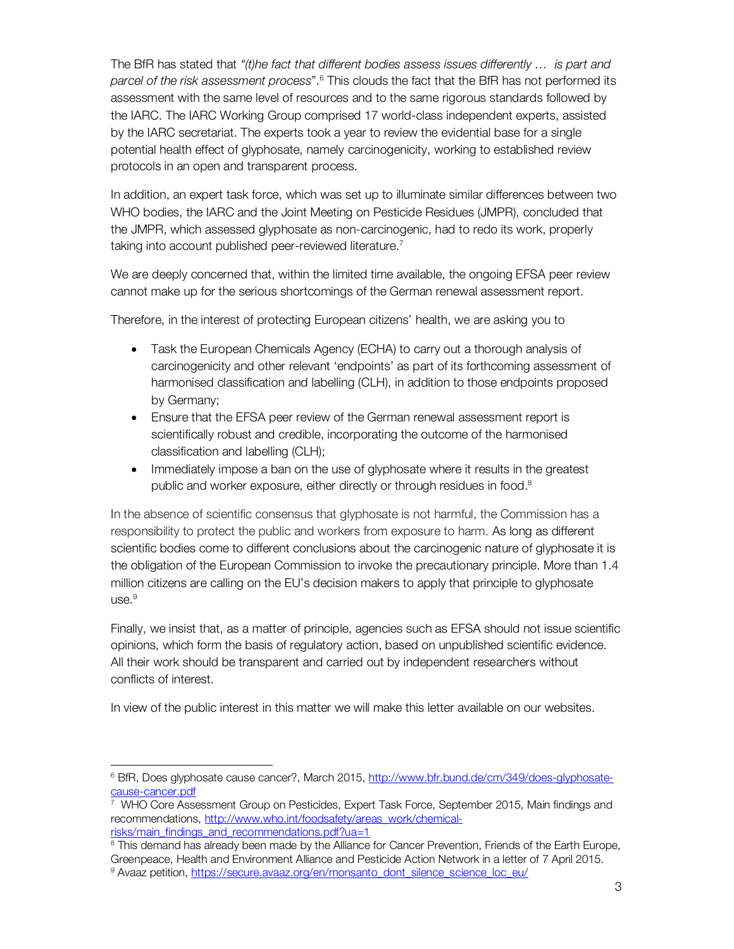The BfR has stated that "(t) he fact that different bodies assess issues differently  $\ldots$  is part and parcel of the risk assessment process".<sup>6</sup> This clouds the fact that the BfR has not performed its assessment with the same level of resources and to the same rigorous standards followed by the IARC. The IARC Working Group comprised 17 world-class independent experts, assisted by the IARC secretariat. The experts took a year to review the evidential base for a single potential health effect of glyphosate, namely carcinogenicity, working to established review protocols in an open and transparent process.

In addition, an expert task force, which was set up to illuminate similar differences between two WHO bodies, the IARC and the Joint Meeting on Pesticide Residues (JMPR), concluded that the JMPR, which assessed glyphosate as non-carcinogenic, had to redo its work, properly taking into account published peer-reviewed literature.<sup>7</sup>

We are deeply concerned that, within the limited time available, the ongoing EFSA peer review cannot make up for the serious shortcomings of the German renewal assessment report.

Therefore, in the interest of protecting European citizens' health, we are asking you to

- · Task the European Chemicals Agency (ECHA) to carry out a thorough analysis of carcinogenicity and other relevant 'endpoints' as part of its forthcoming assessment of harmonised classification and labelling (CLH), in addition to those endpoints proposed by Germany;
- · Ensure that the EFSA peer review of the German renewal assessment report is scientifically robust and credible, incorporating the outcome of the harmonised classification and labelling (CLH);
- · Immediately impose a ban on the use of glyphosate where it results in the greatest public and worker exposure, either directly or through residues in food. 8

In the absence of scientific consensus that glyphosate is not harmful, the Commission has a responsibility to protect the public and workers from exposure to harm. As long as different scientific bodies come to different conclusions about the carcinogenic nature of glyphosate it is the obligation of the European Commission to invoke the precautionary principle. More than 1.4 million citizens are calling on the EU's decision makers to apply that principle to glyphosate use.<sup>9</sup>

Finally, we insist that, as a matter of principle, agencies such as EFSA should not issue scientific opinions, which form the basis of regulatory action, based on unpublished scientific evidence. All their work should be transparent and carried out by independent researchers without conflicts of interest.

In view of the public interest in this matter we will make this letter available on our websites.

 $\overline{\phantom{a}}$ 

<sup>6</sup> BfR, Does glyphosate cause cancer?, March 2015, http://www.bfr.bund.de/cm/349/does-glyphosatecause-cancer.pdf

<sup>7</sup> WHO Core Assessment Group on Pesticides, Expert Task Force, September 2015, Main findings and recommendations, http://www.who.int/foodsafety/areas\_work/chemicalrisks/main\_findings\_and\_recommendations.pdf?ua=1

<sup>&</sup>lt;sup>8</sup> This demand has already been made by the Alliance for Cancer Prevention, Friends of the Earth Europe, Greenpeace, Health and Environment Alliance and Pesticide Action Network in a letter of 7 April 2015.<br><sup>9</sup> Avaaz petition, https://secure.avaaz.org/en/monsanto\_dont\_silence\_science\_loc\_eu/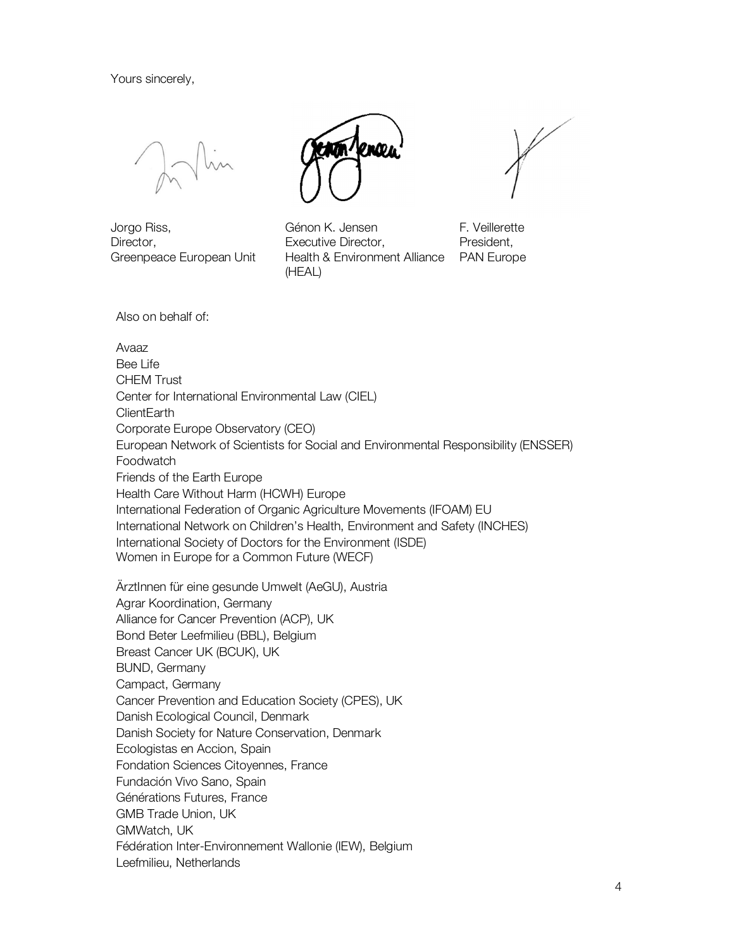Yours sincerely,

Jorgo Riss, Director, Greenpeace European Unit

Génon K. Jensen Executive Director, Health & Environment Alliance (HEAL)



F. Veillerette President, PAN Europe

Also on behalf of:

Avaaz Bee Life CHEM Trust Center for International Environmental Law (CIEL) **ClientEarth** Corporate Europe Observatory (CEO) European Network of Scientists for Social and Environmental Responsibility (ENSSER) Foodwatch Friends of the Earth Europe Health Care Without Harm (HCWH) Europe International Federation of Organic Agriculture Movements (IFOAM) EU International Network on Children's Health, Environment and Safety (INCHES) International Society of Doctors for the Environment (ISDE) Women in Europe for a Common Future (WECF)

ÄrztInnen für eine gesunde Umwelt (AeGU), Austria Agrar Koordination, Germany Alliance for Cancer Prevention (ACP), UK Bond Beter Leefmilieu (BBL), Belgium Breast Cancer UK (BCUK), UK BUND, Germany Campact, Germany Cancer Prevention and Education Society (CPES), UK Danish Ecological Council, Denmark Danish Society for Nature Conservation, Denmark Ecologistas en Accion, Spain Fondation Sciences Citoyennes, France Fundación Vivo Sano, Spain Générations Futures, France GMB Trade Union, UK GMWatch, UK Fédération Inter-Environnement Wallonie (IEW), Belgium Leefmilieu, Netherlands